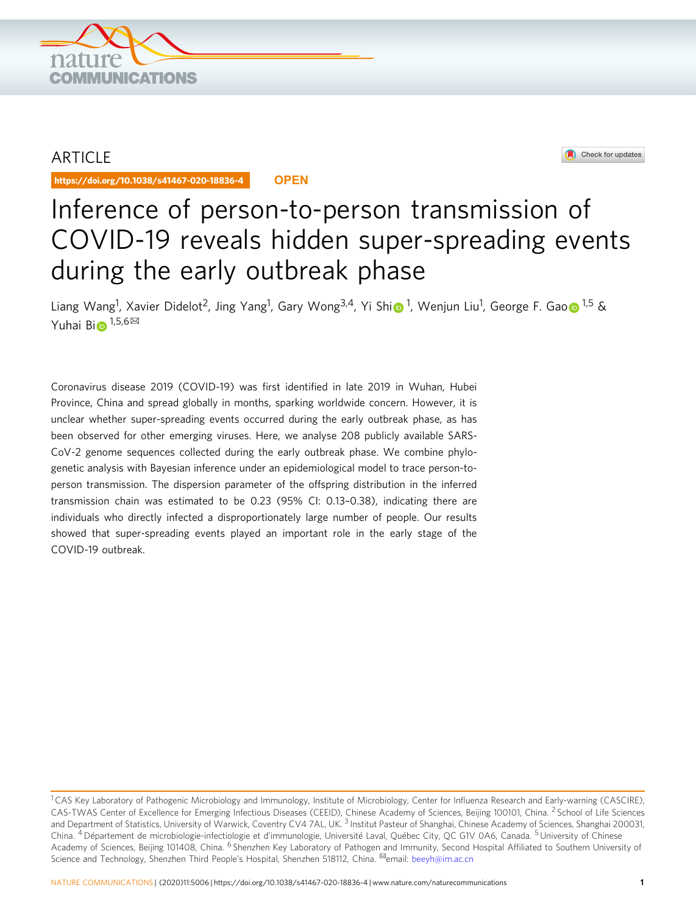

# **ARTICLE**

https://doi.org/10.1038/s41467-020-18836-4 **OPEN**

Check for updates

# Inference of person-to-person transmission of COVID-19 reveals hidden super-spreading events during the early outbreak phase

L[i](http://orcid.org/0000-0002-3053-2687)ang Wang<sup>1</sup>, Xavier Didel[o](http://orcid.org/0000-0002-3869-615X)t<sup>2</sup>, Jing Yang<sup>1</sup>, Gary Wong<sup>3,4</sup>, Yi Shi⋒<sup>1</sup>, Wenjun Liu<sup>1</sup>, George F. Gao⋒<sup>1,5</sup> & Yuha[i](http://orcid.org/0000-0002-5595-363X) Bi $\bigoplus$ <sup>1,5,6 $\boxtimes$ </sup>

Coronavirus disease 2019 (COVID-19) was first identified in late 2019 in Wuhan, Hubei Province, China and spread globally in months, sparking worldwide concern. However, it is unclear whether super-spreading events occurred during the early outbreak phase, as has been observed for other emerging viruses. Here, we analyse 208 publicly available SARS-CoV-2 genome sequences collected during the early outbreak phase. We combine phylogenetic analysis with Bayesian inference under an epidemiological model to trace person-toperson transmission. The dispersion parameter of the offspring distribution in the inferred transmission chain was estimated to be 0.23 (95% CI: 0.13–0.38), indicating there are individuals who directly infected a disproportionately large number of people. Our results showed that super-spreading events played an important role in the early stage of the COVID-19 outbreak.

<sup>&</sup>lt;sup>1</sup> CAS Key Laboratory of Pathogenic Microbiology and Immunology, Institute of Microbiology, Center for Influenza Research and Early-warning (CASCIRE), CAS-TWAS Center of Excellence for Emerging Infectious Diseases (CEEID), Chinese Academy of Sciences, Beijing 100101, China. <sup>2</sup> School of Life Sciences and Department of Statistics, University of Warwick, Coventry CV4 7AL, UK.<sup>3</sup> Institut Pasteur of Shanghai, Chinese Academy of Sciences, Shanghai 200031, China. <sup>4</sup> Département de microbiologie-infectiologie et d'immunologie, Université Laval, Québec City, QC G1V 0A6, Canada. <sup>5</sup> University of Chinese Academy of Sciences, Beijing 101408, China. <sup>6</sup> Shenzhen Key Laboratory of Pathogen and Immunity, Second Hospital Affiliated to Southern University of Science and Technology, Shenzhen Third People's Hospital, Shenzhen 518112, China. <sup>⊠</sup>email: [beeyh@im.ac.cn](mailto:beeyh@im.ac.cn)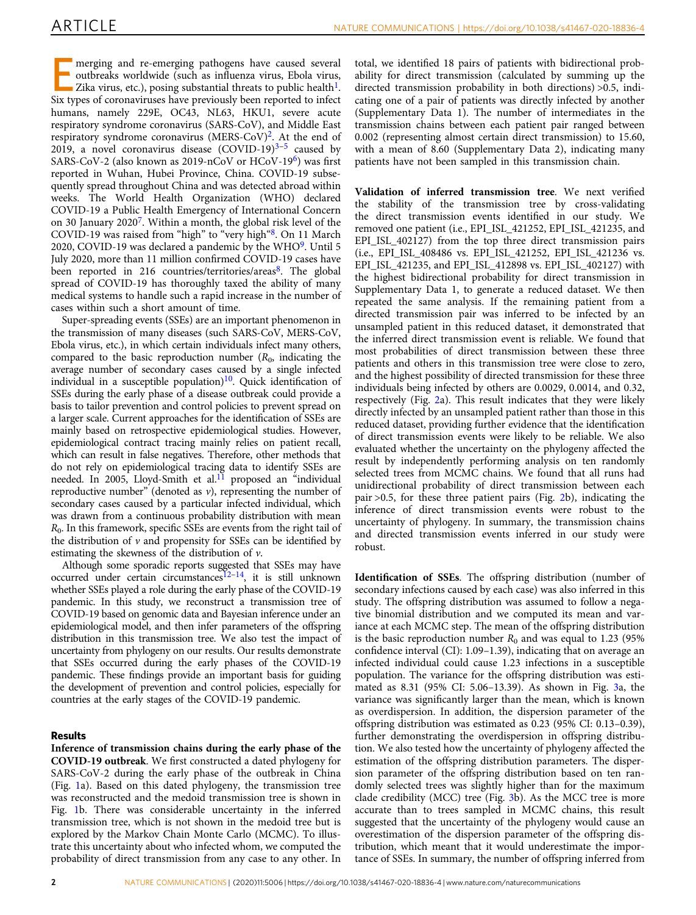merging and re-emerging pathogens have caused several outbreaks worldwide (such as influenza virus, Ebola virus, Zika virus, etc.), posing substantial threats to public health<sup>1</sup>. Six types of coronaviruses have previously been reported to infect humans, namely 229E, OC43, NL63, HKU1, severe acute respiratory syndrome coronavirus (SARS-CoV), and Middle East respiratory syndrome coronavirus (MERS-CoV[\)2.](#page-5-0) At the end of 2019, a novel coronavirus disease  $(COVID-19)^{3-5}$  $(COVID-19)^{3-5}$  $(COVID-19)^{3-5}$  caused by SARS-CoV-2 (also known as 2019-nCoV or HCoV-19<sup>[6](#page-5-0)</sup>) was first reported in Wuhan, Hubei Province, China. COVID-19 subsequently spread throughout China and was detected abroad within weeks. The World Health Organization (WHO) declared COVID-19 a Public Health Emergency of International Concern on 30 January 2020[7.](#page-5-0) Within a month, the global risk level of the COVID-19 was raised from "high" to "very high"[8](#page-5-0). On 11 March 2020, COVID-1[9](#page-5-0) was declared a pandemic by the WHO $9$ . Until 5 July 2020, more than 11 million confirmed COVID-19 cases have been reported in 216 countries/territories/areas<sup>8</sup>. The global spread of COVID-19 has thoroughly taxed the ability of many medical systems to handle such a rapid increase in the number of cases within such a short amount of time.

Super-spreading events (SSEs) are an important phenomenon in the transmission of many diseases (such SARS-CoV, MERS-CoV, Ebola virus, etc.), in which certain individuals infect many others, compared to the basic reproduction number  $(R_0, \text{ indicating the})$ average number of secondary cases caused by a single infected individual in a susceptible population) $10$ . Quick identification of SSEs during the early phase of a disease outbreak could provide a basis to tailor prevention and control policies to prevent spread on a larger scale. Current approaches for the identification of SSEs are mainly based on retrospective epidemiological studies. However, epidemiological contract tracing mainly relies on patient recall, which can result in false negatives. Therefore, other methods that do not rely on epidemiological tracing data to identify SSEs are needed. In 2005, Lloyd-Smith et al.<sup>11</sup> proposed an "individual reproductive number" (denoted as  $v$ ), representing the number of secondary cases caused by a particular infected individual, which was drawn from a continuous probability distribution with mean  $R<sub>0</sub>$ . In this framework, specific SSEs are events from the right tail of the distribution of  $\nu$  and propensity for SSEs can be identified by estimating the skewness of the distribution of ν.

Although some sporadic reports suggested that SSEs may have occurred under certain circumstances<sup> $12-14$  $12-14$ </sup>, it is still unknown whether SSEs played a role during the early phase of the COVID-19 pandemic. In this study, we reconstruct a transmission tree of COVID-19 based on genomic data and Bayesian inference under an epidemiological model, and then infer parameters of the offspring distribution in this transmission tree. We also test the impact of uncertainty from phylogeny on our results. Our results demonstrate that SSEs occurred during the early phases of the COVID-19 pandemic. These findings provide an important basis for guiding the development of prevention and control policies, especially for countries at the early stages of the COVID-19 pandemic.

# **Results**

Inference of transmission chains during the early phase of the COVID-19 outbreak. We first constructed a dated phylogeny for SARS-CoV-2 during the early phase of the outbreak in China (Fig. [1](#page-2-0)a). Based on this dated phylogeny, the transmission tree was reconstructed and the medoid transmission tree is shown in Fig. [1b](#page-2-0). There was considerable uncertainty in the inferred transmission tree, which is not shown in the medoid tree but is explored by the Markov Chain Monte Carlo (MCMC). To illustrate this uncertainty about who infected whom, we computed the probability of direct transmission from any case to any other. In

total, we identified 18 pairs of patients with bidirectional probability for direct transmission (calculated by summing up the directed transmission probability in both directions) >0.5, indicating one of a pair of patients was directly infected by another (Supplementary Data 1). The number of intermediates in the transmission chains between each patient pair ranged between 0.002 (representing almost certain direct transmission) to 15.60, with a mean of 8.60 (Supplementary Data 2), indicating many patients have not been sampled in this transmission chain.

Validation of inferred transmission tree. We next verified the stability of the transmission tree by cross-validating the direct transmission events identified in our study. We removed one patient (i.e., EPI\_ISL\_421252, EPI\_ISL\_421235, and EPI\_ISL\_402127) from the top three direct transmission pairs (i.e., EPI\_ISL\_408486 vs. EPI\_ISL\_421252, EPI\_ISL\_421236 vs. EPI\_ISL\_421235, and EPI\_ISL\_412898 vs. EPI\_ISL\_402127) with the highest bidirectional probability for direct transmission in Supplementary Data 1, to generate a reduced dataset. We then repeated the same analysis. If the remaining patient from a directed transmission pair was inferred to be infected by an unsampled patient in this reduced dataset, it demonstrated that the inferred direct transmission event is reliable. We found that most probabilities of direct transmission between these three patients and others in this transmission tree were close to zero, and the highest possibility of directed transmission for these three individuals being infected by others are 0.0029, 0.0014, and 0.32, respectively (Fig. [2](#page-3-0)a). This result indicates that they were likely directly infected by an unsampled patient rather than those in this reduced dataset, providing further evidence that the identification of direct transmission events were likely to be reliable. We also evaluated whether the uncertainty on the phylogeny affected the result by independently performing analysis on ten randomly selected trees from MCMC chains. We found that all runs had unidirectional probability of direct transmission between each pair >0.5, for these three patient pairs (Fig. [2b](#page-3-0)), indicating the inference of direct transmission events were robust to the uncertainty of phylogeny. In summary, the transmission chains and directed transmission events inferred in our study were robust.

Identification of SSEs. The offspring distribution (number of secondary infections caused by each case) was also inferred in this study. The offspring distribution was assumed to follow a negative binomial distribution and we computed its mean and variance at each MCMC step. The mean of the offspring distribution is the basic reproduction number  $R_0$  and was equal to 1.23 (95%) confidence interval (CI): 1.09–1.39), indicating that on average an infected individual could cause 1.23 infections in a susceptible population. The variance for the offspring distribution was estimated as 8.31 (95% CI: 5.06–13.39). As shown in Fig. [3a](#page-3-0), the variance was significantly larger than the mean, which is known as overdispersion. In addition, the dispersion parameter of the offspring distribution was estimated as 0.23 (95% CI: 0.13–0.39), further demonstrating the overdispersion in offspring distribution. We also tested how the uncertainty of phylogeny affected the estimation of the offspring distribution parameters. The dispersion parameter of the offspring distribution based on ten randomly selected trees was slightly higher than for the maximum clade credibility (MCC) tree (Fig. [3b](#page-3-0)). As the MCC tree is more accurate than to trees sampled in MCMC chains, this result suggested that the uncertainty of the phylogeny would cause an overestimation of the dispersion parameter of the offspring distribution, which meant that it would underestimate the importance of SSEs. In summary, the number of offspring inferred from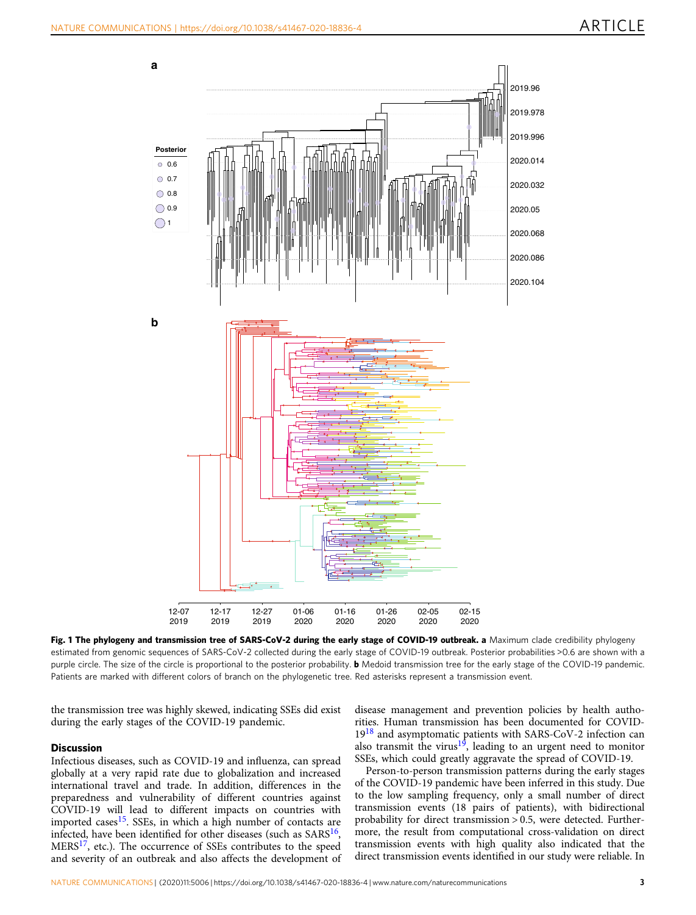<span id="page-2-0"></span>

Fig. 1 The phylogeny and transmission tree of SARS-CoV-2 during the early stage of COVID-19 outbreak. a Maximum clade credibility phylogeny estimated from genomic sequences of SARS-CoV-2 collected during the early stage of COVID-19 outbreak. Posterior probabilities >0.6 are shown with a purple circle. The size of the circle is proportional to the posterior probability. **b** Medoid transmission tree for the early stage of the COVID-19 pandemic. Patients are marked with different colors of branch on the phylogenetic tree. Red asterisks represent a transmission event.

the transmission tree was highly skewed, indicating SSEs did exist during the early stages of the COVID-19 pandemic.

# **Discussion**

Infectious diseases, such as COVID-19 and influenza, can spread globally at a very rapid rate due to globalization and increased international travel and trade. In addition, differences in the preparedness and vulnerability of different countries against COVID-19 will lead to different impacts on countries with imported cases<sup>[15](#page-5-0)</sup>. SSEs, in which a high number of contacts are infected, have been identified for other diseases (such as  $SARS^{16}$ , MERS<sup>17</sup>, etc.). The occurrence of SSEs contributes to the speed and severity of an outbreak and also affects the development of disease management and prevention policies by health authorities. Human transmission has been documented for COVID-19[18](#page-5-0) and asymptomatic patients with SARS-CoV-2 infection can also transmit the virus<sup>19</sup>, leading to an urgent need to monitor SSEs, which could greatly aggravate the spread of COVID-19.

Person-to-person transmission patterns during the early stages of the COVID-19 pandemic have been inferred in this study. Due to the low sampling frequency, only a small number of direct transmission events (18 pairs of patients), with bidirectional probability for direct transmission > 0.5, were detected. Furthermore, the result from computational cross-validation on direct transmission events with high quality also indicated that the direct transmission events identified in our study were reliable. In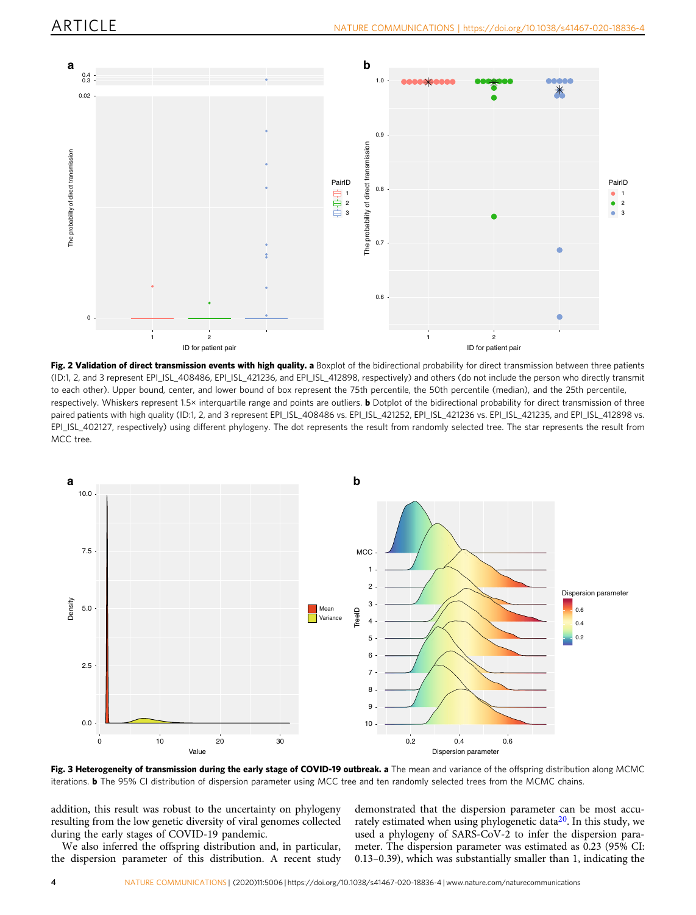<span id="page-3-0"></span>

Fig. 2 Validation of direct transmission events with high quality. a Boxplot of the bidirectional probability for direct transmission between three patients (ID:1, 2, and 3 represent EPI\_ISL\_408486, EPI\_ISL\_421236, and EPI\_ISL\_412898, respectively) and others (do not include the person who directly transmit to each other). Upper bound, center, and lower bound of box represent the 75th percentile, the 50th percentile (median), and the 25th percentile, respectively. Whiskers represent 1.5× interquartile range and points are outliers. **b** Dotplot of the bidirectional probability for direct transmission of three paired patients with high quality (ID:1, 2, and 3 represent EPI\_ISL\_408486 vs. EPI\_ISL\_421252, EPI\_ISL\_421236 vs. EPI\_ISL\_421235, and EPI\_ISL\_412898 vs. EPI\_ISL\_402127, respectively) using different phylogeny. The dot represents the result from randomly selected tree. The star represents the result from MCC tree.



Fig. 3 Heterogeneity of transmission during the early stage of COVID-19 outbreak. a The mean and variance of the offspring distribution along MCMC iterations. b The 95% CI distribution of dispersion parameter using MCC tree and ten randomly selected trees from the MCMC chains.

addition, this result was robust to the uncertainty on phylogeny resulting from the low genetic diversity of viral genomes collected during the early stages of COVID-19 pandemic.

We also inferred the offspring distribution and, in particular, the dispersion parameter of this distribution. A recent study

demonstrated that the dispersion parameter can be most accu-rately estimated when using phylogenetic data<sup>[20](#page-5-0)</sup>. In this study, we used a phylogeny of SARS-CoV-2 to infer the dispersion parameter. The dispersion parameter was estimated as 0.23 (95% CI: 0.13–0.39), which was substantially smaller than 1, indicating the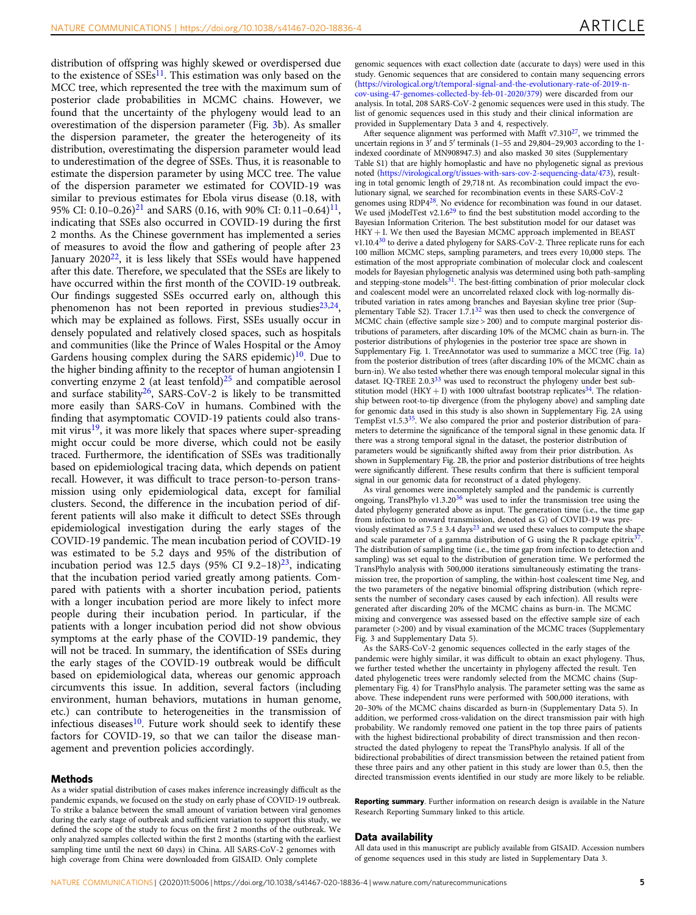distribution of offspring was highly skewed or overdispersed due to the existence of  $SSEs<sup>11</sup>$  $SSEs<sup>11</sup>$  $SSEs<sup>11</sup>$ . This estimation was only based on the MCC tree, which represented the tree with the maximum sum of posterior clade probabilities in MCMC chains. However, we found that the uncertainty of the phylogeny would lead to an overestimation of the dispersion parameter (Fig. [3b](#page-3-0)). As smaller the dispersion parameter, the greater the heterogeneity of its distribution, overestimating the dispersion parameter would lead to underestimation of the degree of SSEs. Thus, it is reasonable to estimate the dispersion parameter by using MCC tree. The value of the dispersion parameter we estimated for COVID-19 was similar to previous estimates for Ebola virus disease (0.18, with 95% CI: 0.10–0.26)<sup>[21](#page-5-0)</sup> and SARS (0.16, with 90% CI: 0.11–0.64)<sup>11</sup>, indicating that SSEs also occurred in COVID-19 during the first 2 months. As the Chinese government has implemented a series of measures to avoid the flow and gathering of people after 23 January  $2020^{22}$ , it is less likely that SSEs would have happened after this date. Therefore, we speculated that the SSEs are likely to have occurred within the first month of the COVID-19 outbreak. Our findings suggested SSEs occurred early on, although this phenomenon has not been reported in previous studies $23,24$ , which may be explained as follows. First, SSEs usually occur in densely populated and relatively closed spaces, such as hospitals and communities (like the Prince of Wales Hospital or the Amoy Gardens housing complex during the SARS epidemic)<sup>10</sup>. Due to the higher binding affinity to the receptor of human angiotensin I converting enzyme 2 (at least tenfold) $^{25}$  $^{25}$  $^{25}$  and compatible aerosol and surface stability<sup>26</sup>, SARS-CoV-2 is likely to be transmitted more easily than SARS-CoV in humans. Combined with the finding that asymptomatic COVID-19 patients could also transmit virus $19$ , it was more likely that spaces where super-spreading might occur could be more diverse, which could not be easily traced. Furthermore, the identification of SSEs was traditionally based on epidemiological tracing data, which depends on patient recall. However, it was difficult to trace person-to-person transmission using only epidemiological data, except for familial clusters. Second, the difference in the incubation period of different patients will also make it difficult to detect SSEs through epidemiological investigation during the early stages of the COVID-19 pandemic. The mean incubation period of COVID-19 was estimated to be 5.2 days and 95% of the distribution of incubation period was 12.5 days (95% CI 9.2–18)<sup>23</sup>, indicating that the incubation period varied greatly among patients. Compared with patients with a shorter incubation period, patients with a longer incubation period are more likely to infect more people during their incubation period. In particular, if the patients with a longer incubation period did not show obvious symptoms at the early phase of the COVID-19 pandemic, they will not be traced. In summary, the identification of SSEs during the early stages of the COVID-19 outbreak would be difficult based on epidemiological data, whereas our genomic approach circumvents this issue. In addition, several factors (including environment, human behaviors, mutations in human genome, etc.) can contribute to heterogeneities in the transmission of infectious diseases $^{10}$  $^{10}$  $^{10}$ . Future work should seek to identify these factors for COVID-19, so that we can tailor the disease management and prevention policies accordingly.

# Methods

As a wider spatial distribution of cases makes inference increasingly difficult as the pandemic expands, we focused on the study on early phase of COVID-19 outbreak. To strike a balance between the small amount of variation between viral genomes during the early stage of outbreak and sufficient variation to support this study, we defined the scope of the study to focus on the first 2 months of the outbreak. We only analyzed samples collected within the first 2 months (starting with the earliest sampling time until the next 60 days) in China. All SARS-CoV-2 genomes with high coverage from China were downloaded from GISAID. Only complete

genomic sequences with exact collection date (accurate to days) were used in this study. Genomic sequences that are considered to contain many sequencing errors [\(https://virological.org/t/temporal-signal-and-the-evolutionary-rate-of-2019-n](https://virological.org/t/temporal-signal-and-the-evolutionary-rate-of-2019-n-cov-using-47-genomes-collected-by-feb-01-2020/379)[cov-using-47-genomes-collected-by-feb-01-2020/379\)](https://virological.org/t/temporal-signal-and-the-evolutionary-rate-of-2019-n-cov-using-47-genomes-collected-by-feb-01-2020/379) were discarded from our analysis. In total, 208 SARS-CoV-2 genomic sequences were used in this study. The list of genomic sequences used in this study and their clinical information are provided in Supplementary Data 3 and 4, respectively.

After sequence alignment was performed with Mafft v7.310 $27$ , we trimmed the uncertain regions in  $3'$  and  $5'$  terminals (1–55 and 29,804–29,903 according to the 1indexed coordinate of MN908947.3) and also masked 30 sites (Supplementary Table S1) that are highly homoplastic and have no phylogenetic signal as previous noted [\(https://virological.org/t/issues-with-sars-cov-2-sequencing-data/473](https://virological.org/t/issues-with-sars-cov-2-sequencing-data/473)), resulting in total genomic length of 29,718 nt. As recombination could impact the evolutionary signal, we searched for recombination events in these SARS-CoV-2 genomes using RDP4[28](#page-5-0). No evidence for recombination was found in our dataset. We used jModelTest v2.1.6<sup>[29](#page-5-0)</sup> to find the best substitution model according to the Bayesian Information Criterion. The best substitution model for our dataset was HKY + I. We then used the Bayesian MCMC approach implemented in BEAST v1.10.4 $30$  to derive a dated phylogeny for SARS-CoV-2. Three replicate runs for each 100 million MCMC steps, sampling parameters, and trees every 10,000 steps. The estimation of the most appropriate combination of molecular clock and coalescent models for Bayesian phylogenetic analysis was determined using both path-sampling and stepping-stone models<sup>31</sup>. The best-fitting combination of prior molecular clock and coalescent model were an uncorrelated relaxed clock with log-normally distributed variation in rates among branches and Bayesian skyline tree prior (Supplementary Table S2). Tracer  $1.7.1^{32}$  $1.7.1^{32}$  $1.7.1^{32}$  was then used to check the convergence of MCMC chain (effective sample size > 200) and to compute marginal posterior distributions of parameters, after discarding 10% of the MCMC chain as burn-in. The posterior distributions of phylogenies in the posterior tree space are shown in Supplementary Fig. 1. TreeAnnotator was used to summarize a MCC tree (Fig. [1a](#page-2-0)) from the posterior distribution of trees (after discarding 10% of the MCMC chain as burn-in). We also tested whether there was enough temporal molecular signal in this dataset. IQ-TREE 2.0.3<sup>[33](#page-5-0)</sup> was used to reconstruct the phylogeny under best sub-stitution model (HKY + I) with 1000 ultrafast bootstrap replicates<sup>[34](#page-5-0)</sup>. The relationship between root-to-tip divergence (from the phylogeny above) and sampling date for genomic data used in this study is also shown in Supplementary Fig. 2A using TempEst v1.5.3<sup>35</sup>. We also compared the prior and posterior distribution of parameters to determine the significance of the temporal signal in these genomic data. If there was a strong temporal signal in the dataset, the posterior distribution of parameters would be significantly shifted away from their prior distribution. As shown in Supplementary Fig. 2B, the prior and posterior distributions of tree heights were significantly different. These results confirm that there is sufficient temporal signal in our genomic data for reconstruct of a dated phylogeny.

As viral genomes were incompletely sampled and the pandemic is currently ongoing, TransPhylo v1.3.20<sup>[36](#page-5-0)</sup> was used to infer the transmission tree using the dated phylogeny generated above as input. The generation time (i.e., the time gap from infection to onward transmission, denoted as G) of COVID-19 was previously estimated as  $7.5 \pm 3.4$  days<sup>[23](#page-5-0)</sup> and we used these values to compute the shape and scale parameter of a gamma distribution of G using the R package epitrix<sup>3</sup> The distribution of sampling time (i.e., the time gap from infection to detection and sampling) was set equal to the distribution of generation time. We performed the TransPhylo analysis with 500,000 iterations simultaneously estimating the transmission tree, the proportion of sampling, the within-host coalescent time Neg, and the two parameters of the negative binomial offspring distribution (which represents the number of secondary cases caused by each infection). All results were generated after discarding 20% of the MCMC chains as burn-in. The MCMC mixing and convergence was assessed based on the effective sample size of each parameter (>200) and by visual examination of the MCMC traces (Supplementary Fig. 3 and Supplementary Data 5).

As the SARS-CoV-2 genomic sequences collected in the early stages of the pandemic were highly similar, it was difficult to obtain an exact phylogeny. Thus, we further tested whether the uncertainty in phylogeny affected the result. Ten dated phylogenetic trees were randomly selected from the MCMC chains (Supplementary Fig. 4) for TransPhylo analysis. The parameter setting was the same as above. These independent runs were performed with 500,000 iterations, with 20–30% of the MCMC chains discarded as burn-in (Supplementary Data 5). In addition, we performed cross-validation on the direct transmission pair with high probability. We randomly removed one patient in the top three pairs of patients with the highest bidirectional probability of direct transmission and then reconstructed the dated phylogeny to repeat the TransPhylo analysis. If all of the bidirectional probabilities of direct transmission between the retained patient from these three pairs and any other patient in this study are lower than 0.5, then the directed transmission events identified in our study are more likely to be reliable.

Reporting summary. Further information on research design is available in the Nature Research Reporting Summary linked to this article.

# Data availability

All data used in this manuscript are publicly available from GISAID. Accession numbers of genome sequences used in this study are listed in Supplementary Data 3.